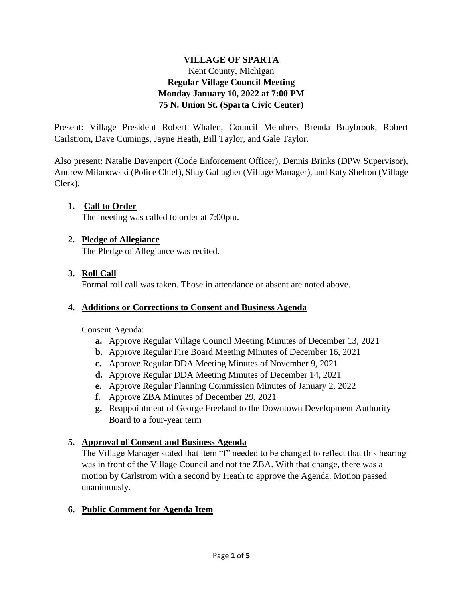#### **VILLAGE OF SPARTA** Kent County, Michigan **Regular Village Council Meeting Monday January 10, 2022 at 7:00 PM 75 N. Union St. (Sparta Civic Center)**

Present: Village President Robert Whalen, Council Members Brenda Braybrook, Robert Carlstrom, Dave Cumings, Jayne Heath, Bill Taylor, and Gale Taylor.

Also present: Natalie Davenport (Code Enforcement Officer), Dennis Brinks (DPW Supervisor), Andrew Milanowski (Police Chief), Shay Gallagher (Village Manager), and Katy Shelton (Village Clerk).

#### **1. Call to Order** The meeting was called to order at 7:00pm.

### **2. Pledge of Allegiance**

The Pledge of Allegiance was recited.

## **3. Roll Call**

Formal roll call was taken. Those in attendance or absent are noted above.

### **4. Additions or Corrections to Consent and Business Agenda**

Consent Agenda:

- **a.** Approve Regular Village Council Meeting Minutes of December 13, 2021
- **b.** Approve Regular Fire Board Meeting Minutes of December 16, 2021
- **c.** Approve Regular DDA Meeting Minutes of November 9, 2021
- **d.** Approve Regular DDA Meeting Minutes of December 14, 2021
- **e.** Approve Regular Planning Commission Minutes of January 2, 2022
- **f.** Approve ZBA Minutes of December 29, 2021
- **g.** Reappointment of George Freeland to the Downtown Development Authority Board to a four-year term

## **5. Approval of Consent and Business Agenda**

The Village Manager stated that item "f" needed to be changed to reflect that this hearing was in front of the Village Council and not the ZBA. With that change, there was a motion by Carlstrom with a second by Heath to approve the Agenda. Motion passed unanimously.

### **6. Public Comment for Agenda Item**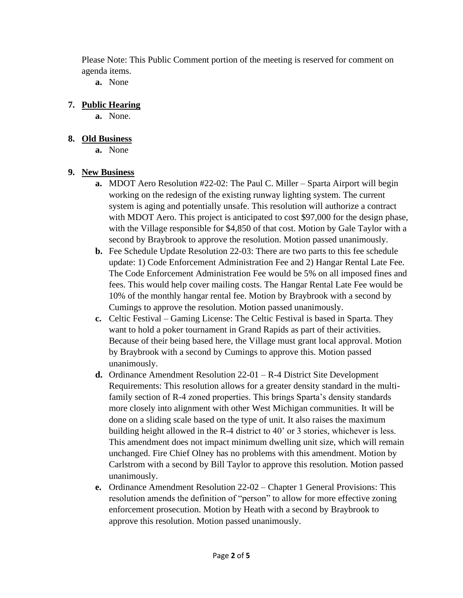Please Note: This Public Comment portion of the meeting is reserved for comment on agenda items.

**a.** None

### **7. Public Hearing**

**a.** None.

### **8. Old Business**

**a.** None

# **9. New Business**

- **a.** MDOT Aero Resolution #22-02: The Paul C. Miller Sparta Airport will begin working on the redesign of the existing runway lighting system. The current system is aging and potentially unsafe. This resolution will authorize a contract with MDOT Aero. This project is anticipated to cost \$97,000 for the design phase, with the Village responsible for \$4,850 of that cost. Motion by Gale Taylor with a second by Braybrook to approve the resolution. Motion passed unanimously.
- **b.** Fee Schedule Update Resolution 22-03: There are two parts to this fee schedule update: 1) Code Enforcement Administration Fee and 2) Hangar Rental Late Fee. The Code Enforcement Administration Fee would be 5% on all imposed fines and fees. This would help cover mailing costs. The Hangar Rental Late Fee would be 10% of the monthly hangar rental fee. Motion by Braybrook with a second by Cumings to approve the resolution. Motion passed unanimously.
- **c.** Celtic Festival Gaming License: The Celtic Festival is based in Sparta. They want to hold a poker tournament in Grand Rapids as part of their activities. Because of their being based here, the Village must grant local approval. Motion by Braybrook with a second by Cumings to approve this. Motion passed unanimously.
- **d.** Ordinance Amendment Resolution 22-01 R-4 District Site Development Requirements: This resolution allows for a greater density standard in the multifamily section of R-4 zoned properties. This brings Sparta's density standards more closely into alignment with other West Michigan communities. It will be done on a sliding scale based on the type of unit. It also raises the maximum building height allowed in the R-4 district to 40' or 3 stories, whichever is less. This amendment does not impact minimum dwelling unit size, which will remain unchanged. Fire Chief Olney has no problems with this amendment. Motion by Carlstrom with a second by Bill Taylor to approve this resolution. Motion passed unanimously.
- **e.** Ordinance Amendment Resolution 22-02 Chapter 1 General Provisions: This resolution amends the definition of "person" to allow for more effective zoning enforcement prosecution. Motion by Heath with a second by Braybrook to approve this resolution. Motion passed unanimously.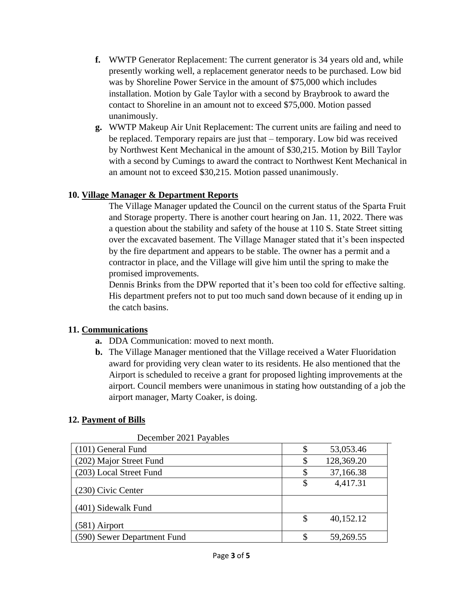- **f.** WWTP Generator Replacement: The current generator is 34 years old and, while presently working well, a replacement generator needs to be purchased. Low bid was by Shoreline Power Service in the amount of \$75,000 which includes installation. Motion by Gale Taylor with a second by Braybrook to award the contact to Shoreline in an amount not to exceed \$75,000. Motion passed unanimously.
- **g.** WWTP Makeup Air Unit Replacement: The current units are failing and need to be replaced. Temporary repairs are just that – temporary. Low bid was received by Northwest Kent Mechanical in the amount of \$30,215. Motion by Bill Taylor with a second by Cumings to award the contract to Northwest Kent Mechanical in an amount not to exceed \$30,215. Motion passed unanimously.

#### **10. Village Manager & Department Reports**

The Village Manager updated the Council on the current status of the Sparta Fruit and Storage property. There is another court hearing on Jan. 11, 2022. There was a question about the stability and safety of the house at 110 S. State Street sitting over the excavated basement. The Village Manager stated that it's been inspected by the fire department and appears to be stable. The owner has a permit and a contractor in place, and the Village will give him until the spring to make the promised improvements.

Dennis Brinks from the DPW reported that it's been too cold for effective salting. His department prefers not to put too much sand down because of it ending up in the catch basins.

### **11. Communications**

- **a.** DDA Communication: moved to next month.
- **b.** The Village Manager mentioned that the Village received a Water Fluoridation award for providing very clean water to its residents. He also mentioned that the Airport is scheduled to receive a grant for proposed lighting improvements at the airport. Council members were unanimous in stating how outstanding of a job the airport manager, Marty Coaker, is doing.

### **12. Payment of Bills**

| December 2021 Payables      |                 |
|-----------------------------|-----------------|
| (101) General Fund          | 53,053.46       |
| (202) Major Street Fund     | 128,369.20      |
| (203) Local Street Fund     | 37,166.38       |
| (230) Civic Center          | 4,417.31        |
| (401) Sidewalk Fund         |                 |
| $(581)$ Airport             | \$<br>40,152.12 |
| (590) Sewer Department Fund | 59,269.55       |

December 2021 Payables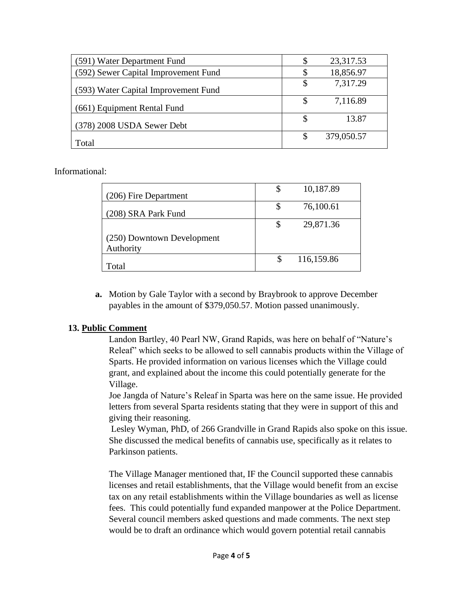| (591) Water Department Fund          | 23,317.53        |
|--------------------------------------|------------------|
| (592) Sewer Capital Improvement Fund | 18,856.97        |
| (593) Water Capital Improvement Fund | 7,317.29         |
| (661) Equipment Rental Fund          | \$<br>7,116.89   |
| (378) 2008 USDA Sewer Debt           | 13.87            |
| Total                                | \$<br>379,050.57 |

Informational:

| (206) Fire Department                   |    | 10,187.89  |
|-----------------------------------------|----|------------|
| (208) SRA Park Fund                     |    | 76,100.61  |
|                                         | \$ | 29,871.36  |
| (250) Downtown Development<br>Authority |    |            |
| [otal                                   | S  | 116,159.86 |

**a.** Motion by Gale Taylor with a second by Braybrook to approve December payables in the amount of \$379,050.57. Motion passed unanimously.

### **13. Public Comment**

Landon Bartley, 40 Pearl NW, Grand Rapids, was here on behalf of "Nature's Releaf" which seeks to be allowed to sell cannabis products within the Village of Sparts. He provided information on various licenses which the Village could grant, and explained about the income this could potentially generate for the Village.

Joe Jangda of Nature's Releaf in Sparta was here on the same issue. He provided letters from several Sparta residents stating that they were in support of this and giving their reasoning.

Lesley Wyman, PhD, of 266 Grandville in Grand Rapids also spoke on this issue. She discussed the medical benefits of cannabis use, specifically as it relates to Parkinson patients.

The Village Manager mentioned that, IF the Council supported these cannabis licenses and retail establishments, that the Village would benefit from an excise tax on any retail establishments within the Village boundaries as well as license fees. This could potentially fund expanded manpower at the Police Department. Several council members asked questions and made comments. The next step would be to draft an ordinance which would govern potential retail cannabis